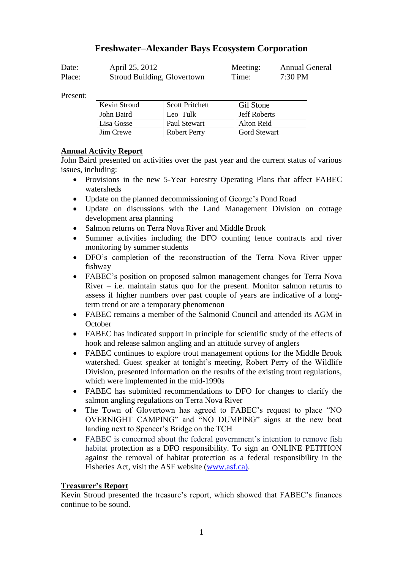# **Freshwater–Alexander Bays Ecosystem Corporation**

| Date:  | April 25, 2012              | Meeting: | <b>Annual General</b> |
|--------|-----------------------------|----------|-----------------------|
| Place: | Stroud Building, Glovertown | Time:    | 7:30 PM               |

Present:

| Kevin Stroud | <b>Scott Pritchett</b> | Gil Stone           |
|--------------|------------------------|---------------------|
| John Baird   | Leo Tulk               | <b>Jeff Roberts</b> |
| Lisa Gosse   | Paul Stewart           | Alton Reid          |
| Jim Crewe    | Robert Perry           | <b>Gord Stewart</b> |

#### **Annual Activity Report**

John Baird presented on activities over the past year and the current status of various issues, including:

- Provisions in the new 5-Year Forestry Operating Plans that affect FABEC watersheds
- Update on the planned decommissioning of George's Pond Road
- Update on discussions with the Land Management Division on cottage development area planning
- Salmon returns on Terra Nova River and Middle Brook
- Summer activities including the DFO counting fence contracts and river monitoring by summer students
- DFO's completion of the reconstruction of the Terra Nova River upper fishway
- FABEC's position on proposed salmon management changes for Terra Nova River  $-$  i.e. maintain status quo for the present. Monitor salmon returns to assess if higher numbers over past couple of years are indicative of a longterm trend or are a temporary phenomenon
- FABEC remains a member of the Salmonid Council and attended its AGM in **October**
- FABEC has indicated support in principle for scientific study of the effects of hook and release salmon angling and an attitude survey of anglers
- FABEC continues to explore trout management options for the Middle Brook watershed. Guest speaker at tonight's meeting, Robert Perry of the Wildlife Division, presented information on the results of the existing trout regulations, which were implemented in the mid-1990s
- FABEC has submitted recommendations to DFO for changes to clarify the salmon angling regulations on Terra Nova River
- The Town of Glovertown has agreed to FABEC's request to place "NO OVERNIGHT CAMPING" and "NO DUMPING" signs at the new boat landing next to Spencer's Bridge on the TCH
- FABEC is concerned about the federal government's intention to remove fish habitat protection as a DFO responsibility. To sign an ONLINE PETITION against the removal of habitat protection as a federal responsibility in the Fisheries Act, visit the ASF website [\(www.asf.ca\).](http://www.asf.ca)/)

### **Treasurer's Report**

Kevin Stroud presented the treasure's report, which showed that FABEC's finances continue to be sound.